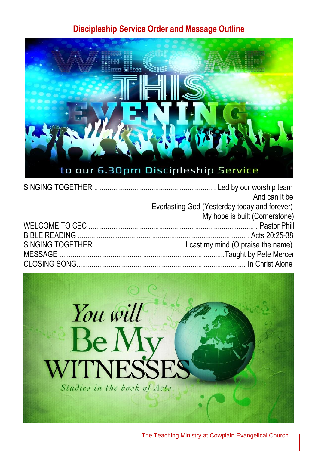## **Discipleship Service Order and Message Outline**



| And can it be                                 |
|-----------------------------------------------|
| Everlasting God (Yesterday today and forever) |
| My hope is built (Cornerstone)                |
|                                               |
|                                               |
|                                               |
|                                               |
|                                               |
|                                               |



The Teaching Ministry at Cowplain Evangelical Church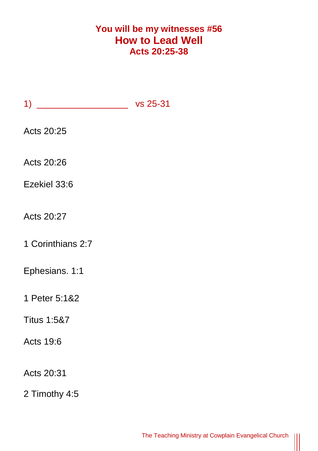## **You will be my witnesses #56 How to Lead Well Acts 20:25-38**

| Acts 20:25             |  |
|------------------------|--|
| Acts 20:26             |  |
| Ezekiel 33:6           |  |
| Acts 20:27             |  |
| 1 Corinthians 2:7      |  |
| Ephesians. 1:1         |  |
| 1 Peter 5:1&2          |  |
| <b>Titus 1:5&amp;7</b> |  |
| Acts 19:6              |  |
| Acts 20:31             |  |
| 2 Timothy 4:5          |  |

 $\frac{1}{2}$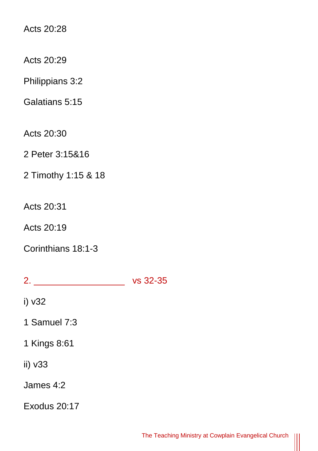Acts 20:28

Acts 20:29

Philippians 3:2

Galatians 5:15

Acts 20:30

2 Peter 3:15&16

2 Timothy 1:15 & 18

Acts 20:31

Acts 20:19

Corinthians 18:1-3

2. \_\_\_\_\_\_\_\_\_\_\_\_\_\_\_\_\_\_ vs 32-35

i) v32

1 Samuel 7:3

1 Kings 8:61

ii) v33

James 4:2

Exodus 20:17

║